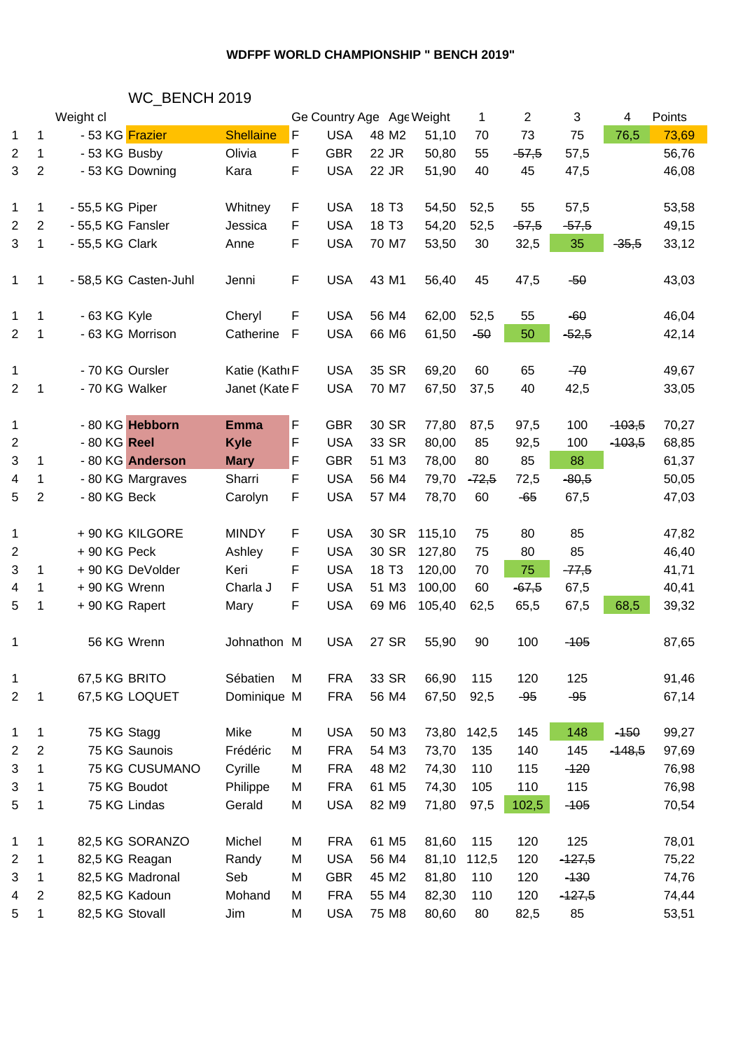### **WDFPF WORLD CHAMPIONSHIP " BENCH 2019"**

# WC\_BENCH 2019

|                         | Weight cl      |                   |                       | Ge Country Age Age Weight |             |            |                   | 1      | $\overline{2}$ | 3       | Points<br>4 |          |       |  |
|-------------------------|----------------|-------------------|-----------------------|---------------------------|-------------|------------|-------------------|--------|----------------|---------|-------------|----------|-------|--|
| 1                       | 1              | - 53 KG Frazier   |                       | <b>Shellaine</b>          | F           | <b>USA</b> | 48 M2             | 51,10  | 70             | 73      | 75          | 76,5     | 73,69 |  |
| 2                       | 1              | - 53 KG Busby     |                       | Olivia                    | F           | <b>GBR</b> | 22 JR             | 50,80  | 55             | $-57,5$ | 57,5        |          | 56,76 |  |
| 3                       | $\overline{2}$ |                   | - 53 KG Downing       | Kara                      | F           | <b>USA</b> | 22 JR             | 51,90  | 40             | 45      | 47,5        |          | 46,08 |  |
|                         |                |                   |                       |                           |             |            |                   |        |                |         |             |          |       |  |
| 1                       | 1              | - 55,5 KG Piper   |                       | Whitney                   | F           | <b>USA</b> | 18 T <sub>3</sub> | 54,50  | 52,5           | 55      | 57,5        |          | 53,58 |  |
| 2                       | $\overline{2}$ | - 55,5 KG Fansler |                       | Jessica                   | F           | <b>USA</b> | 18 T <sub>3</sub> | 54,20  | 52,5           | $-57,5$ | $-57,5$     |          | 49,15 |  |
| 3                       | 1              | - 55,5 KG Clark   |                       | Anne                      | F           | <b>USA</b> | 70 M7             | 53,50  | 30             | 32,5    | 35          | $-35,5$  | 33,12 |  |
|                         |                |                   |                       |                           |             |            |                   |        |                |         |             |          |       |  |
| 1                       | 1              |                   | - 58,5 KG Casten-Juhl | Jenni                     | F           | <b>USA</b> | 43 M1             | 56,40  | 45             | 47,5    | $-50$       |          | 43,03 |  |
|                         |                |                   |                       |                           |             |            |                   |        |                |         |             |          |       |  |
| 1                       | $\mathbf 1$    | - 63 KG Kyle      |                       | Cheryl                    | F           | <b>USA</b> | 56 M4             | 62,00  | 52,5           | 55      | $-60$       |          | 46,04 |  |
| 2                       | 1              |                   | - 63 KG Morrison      | Catherine                 | $\mathsf F$ | <b>USA</b> | 66 M6             | 61,50  | $-50$          | 50      | $-52,5$     |          | 42,14 |  |
|                         |                |                   |                       |                           |             |            |                   |        |                |         |             |          |       |  |
| 1                       |                | - 70 KG Oursler   |                       | Katie (Kathı F            |             | <b>USA</b> | 35 SR             | 69,20  | 60             | 65      | $-70$       |          | 49,67 |  |
| $\overline{2}$          | 1              | - 70 KG Walker    |                       | Janet (Kate F             |             | <b>USA</b> | 70 M7             | 67,50  | 37,5           | 40      | 42,5        |          | 33,05 |  |
|                         |                |                   |                       |                           |             |            |                   |        |                |         |             |          |       |  |
| 1                       |                |                   | - 80 KG Hebborn       | <b>Emma</b>               | F           | <b>GBR</b> | 30 SR             | 77,80  | 87,5           | 97,5    | 100         | $-103,5$ | 70,27 |  |
| $\overline{c}$          |                | - 80 KG Reel      |                       | <b>Kyle</b>               | F           | <b>USA</b> | 33 SR             | 80,00  | 85             | 92,5    | 100         | $-103,5$ | 68,85 |  |
| 3                       | $\mathbf 1$    |                   | - 80 KG Anderson      | <b>Mary</b>               | F           | <b>GBR</b> | 51 M3             | 78,00  | 80             | 85      | 88          |          | 61,37 |  |
| 4                       | 1              |                   | - 80 KG Margraves     | Sharri                    | F.          | <b>USA</b> | 56 M4             | 79,70  | $-72,5$        | 72,5    | $-80,5$     |          | 50,05 |  |
| 5                       | $\overline{2}$ | - 80 KG Beck      |                       | Carolyn                   | F           | <b>USA</b> | 57 M4             | 78,70  | 60             | $-65$   | 67,5        |          | 47,03 |  |
|                         |                |                   |                       |                           |             |            |                   |        |                |         |             |          |       |  |
| $\mathbf 1$             |                |                   | + 90 KG KILGORE       | <b>MINDY</b>              | F           | <b>USA</b> | 30 SR             | 115,10 | 75             | 80      | 85          |          | 47,82 |  |
| 2                       |                | +90 KG Peck       |                       | Ashley                    | F           | <b>USA</b> | 30 SR             | 127,80 | 75             | 80      | 85          |          | 46,40 |  |
| 3                       | 1              |                   | +90 KG DeVolder       | Keri                      | F           | <b>USA</b> | 18 T <sub>3</sub> | 120,00 | 70             | 75      | $-77,5$     |          | 41,71 |  |
| 4                       | 1              | +90 KG Wrenn      |                       | Charla J                  | F           | <b>USA</b> | 51 M3             | 100,00 | 60             | $-67,5$ | 67,5        |          | 40,41 |  |
| 5                       | 1              | +90 KG Rapert     |                       | Mary                      | F           | <b>USA</b> | 69 M6             | 105,40 | 62,5           | 65,5    | 67,5        | 68,5     | 39,32 |  |
|                         |                |                   |                       |                           |             |            |                   |        |                |         |             |          |       |  |
| 1                       |                | 56 KG Wrenn       |                       | Johnathon M               |             | <b>USA</b> | 27 SR             | 55,90  | 90             | 100     | $-105$      |          | 87,65 |  |
| 1                       |                | 67,5 KG BRITO     |                       | Sébatien                  | M           | <b>FRA</b> | 33 SR             | 66,90  | 115            | 120     | 125         |          | 91,46 |  |
| 2                       | 1              |                   | 67,5 KG LOQUET        | Dominique M               |             | <b>FRA</b> | 56 M4             | 67,50  | 92,5           | $-95$   | $-95$       |          | 67,14 |  |
|                         |                |                   |                       |                           |             |            |                   |        |                |         |             |          |       |  |
| 1                       | 1              | 75 KG Stagg       |                       | Mike                      | M           | <b>USA</b> | 50 M3             | 73,80  | 142,5          | 145     | 148         | $-150$   | 99,27 |  |
| $\overline{\mathbf{c}}$ | $\overline{2}$ |                   | 75 KG Saunois         | Frédéric                  | M           | <b>FRA</b> | 54 M3             | 73,70  | 135            | 140     | 145         | $-148,5$ | 97,69 |  |
| 3                       | 1              |                   | <b>75 KG CUSUMANO</b> | Cyrille                   | M           | <b>FRA</b> | 48 M2             | 74,30  | 110            | 115     | $-120$      |          | 76,98 |  |
| 3                       | 1              |                   | 75 KG Boudot          | Philippe                  | M           | <b>FRA</b> | 61 M <sub>5</sub> | 74,30  | 105            | 110     | 115         |          | 76,98 |  |
| 5                       | 1              | 75 KG Lindas      |                       | Gerald                    | M           | <b>USA</b> | 82 M9             | 71,80  | 97,5           | 102,5   | $-105$      |          | 70,54 |  |
|                         |                |                   |                       |                           |             |            |                   |        |                |         |             |          |       |  |
| 1                       | 1              |                   | 82,5 KG SORANZO       | Michel                    | M           | <b>FRA</b> | 61 M <sub>5</sub> | 81,60  | 115            | 120     | 125         |          | 78,01 |  |
| $\overline{c}$          | 1              | 82,5 KG Reagan    |                       | Randy                     | M           | <b>USA</b> | 56 M4             | 81,10  | 112,5          | 120     | $-127,5$    |          | 75,22 |  |
| 3                       | 1              |                   | 82,5 KG Madronal      | Seb                       | M           | <b>GBR</b> | 45 M2             | 81,80  | 110            | 120     | $-130$      |          | 74,76 |  |
| 4                       | $\overline{2}$ | 82,5 KG Kadoun    |                       | Mohand                    | M           | <b>FRA</b> | 55 M4             | 82,30  | 110            | 120     | $-127,5$    |          | 74,44 |  |
| 5                       | $\mathbf 1$    | 82,5 KG Stovall   |                       | Jim                       | М           | <b>USA</b> | 75 M8             | 80,60  | 80             | 82,5    | 85          |          | 53,51 |  |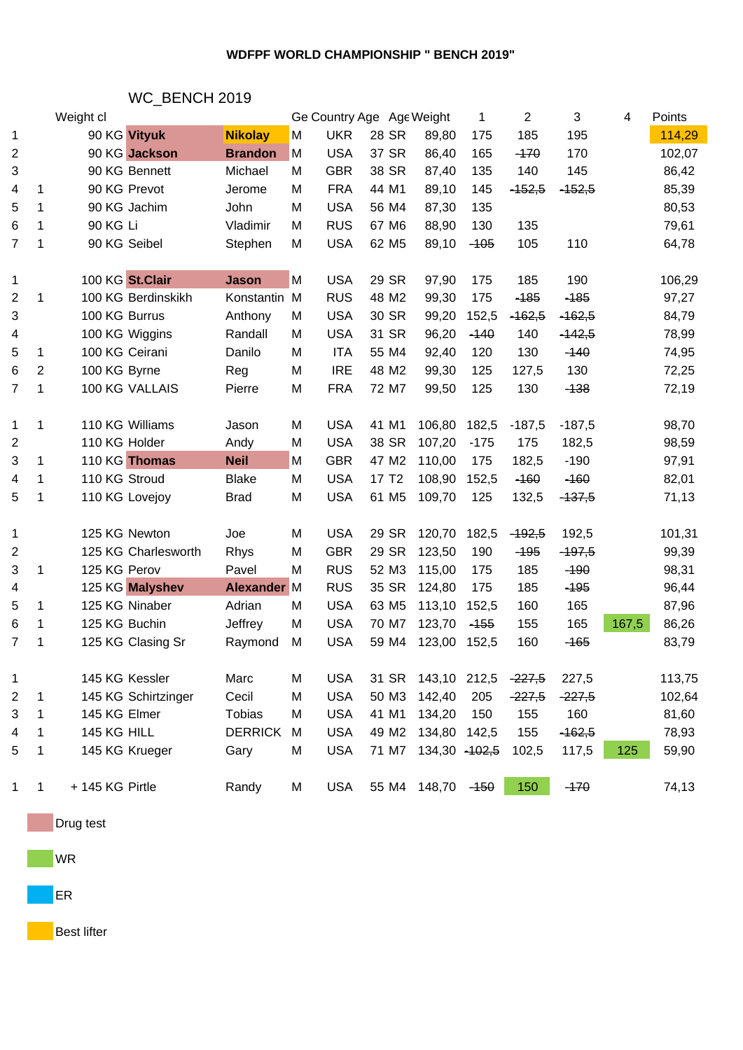### **WDFPF WORLD CHAMPIONSHIP " BENCH 2019"**

# WC\_BENCH 2019

|                         |                | Weight cl           |                    |   | Ge Country Age Age Weight |                   |                      | 1      | $\overline{2}$ | 3        | 4     | Points |  |
|-------------------------|----------------|---------------------|--------------------|---|---------------------------|-------------------|----------------------|--------|----------------|----------|-------|--------|--|
| 1                       |                | 90 KG Vityuk        | <b>Nikolay</b>     | М | <b>UKR</b>                | 28 SR             | 89,80                | 175    | 185            | 195      |       | 114,29 |  |
| $\overline{\mathbf{c}}$ |                | 90 KG Jackson       | <b>Brandon</b>     | M | <b>USA</b>                | 37 SR             | 86,40                | 165    | $-170$         | 170      |       | 102,07 |  |
| 3                       |                | 90 KG Bennett       | Michael            | M | <b>GBR</b>                | 38 SR             | 87,40                | 135    | 140            | 145      |       | 86,42  |  |
| 4                       | 1              | 90 KG Prevot        | Jerome             | M | <b>FRA</b>                | 44 M1             | 89,10                | 145    | $-452,5$       | $-152,5$ |       | 85,39  |  |
| 5                       | 1              | 90 KG Jachim        | John               | M | <b>USA</b>                | 56 M4             | 87,30                | 135    |                |          |       | 80,53  |  |
| 6                       | 1              | 90 KG Li            | Vladimir           | M | <b>RUS</b>                | 67 M6             | 88,90                | 130    | 135            |          |       | 79,61  |  |
| 7                       | 1              | 90 KG Seibel        | Stephen            | M | <b>USA</b>                | 62 M <sub>5</sub> | 89,10                | $-105$ | 105            | 110      |       | 64,78  |  |
|                         |                |                     |                    |   |                           |                   |                      |        |                |          |       |        |  |
| 1                       |                | 100 KG St.Clair     | <b>Jason</b>       | M | <b>USA</b>                | 29 SR             | 97,90                | 175    | 185            | 190      |       | 106,29 |  |
| $\overline{2}$          | 1              | 100 KG Berdinskikh  | Konstantin M       |   | <b>RUS</b>                | 48 M2             | 99,30                | 175    | $-185$         | $-185$   |       | 97,27  |  |
| 3                       |                | 100 KG Burrus       | Anthony            | M | <b>USA</b>                | 30 SR             | 99,20                | 152,5  | $-162,5$       | $-162,5$ |       | 84,79  |  |
| 4                       |                | 100 KG Wiggins      | Randall            | M | <b>USA</b>                | 31 SR             | 96,20                | $-140$ | 140            | $-142,5$ |       | 78,99  |  |
| 5                       | 1              | 100 KG Ceirani      | Danilo             | M | <b>ITA</b>                | 55 M4             | 92,40                | 120    | 130            | $-140$   |       | 74,95  |  |
| 6                       | $\overline{2}$ | 100 KG Byrne        | Reg                | M | <b>IRE</b>                | 48 M2             | 99,30                | 125    | 127,5          | 130      |       | 72,25  |  |
| 7                       | 1              | 100 KG VALLAIS      | Pierre             | M | <b>FRA</b>                | 72 M7             | 99,50                | 125    | 130            | $-138$   |       | 72,19  |  |
|                         |                |                     |                    |   |                           |                   |                      |        |                |          |       |        |  |
| 1                       | 1              | 110 KG Williams     | Jason              | M | <b>USA</b>                | 41 M1             | 106,80               | 182,5  | $-187,5$       | $-187,5$ |       | 98,70  |  |
| $\overline{c}$          |                | 110 KG Holder       | Andy               | M | <b>USA</b>                | 38 SR             | 107,20               | $-175$ | 175            | 182,5    |       | 98,59  |  |
| 3                       | 1              | 110 KG Thomas       | <b>Neil</b>        | M | <b>GBR</b>                | 47 M2             | 110,00               | 175    | 182,5          | $-190$   |       | 97,91  |  |
| 4                       | 1              | 110 KG Stroud       | <b>Blake</b>       | M | <b>USA</b>                | 17 T <sub>2</sub> | 108,90               | 152,5  | $-160$         | $-160$   |       | 82,01  |  |
| 5                       | 1              | 110 KG Lovejoy      | <b>Brad</b>        | M | <b>USA</b>                | 61 M <sub>5</sub> | 109,70               | 125    | 132,5          | $-137,5$ |       | 71,13  |  |
|                         |                |                     |                    |   |                           |                   |                      |        |                |          |       |        |  |
| 1                       |                | 125 KG Newton       | Joe                | M | <b>USA</b>                | 29 SR             | 120,70               | 182,5  | $-192,5$       | 192,5    |       | 101,31 |  |
| $\overline{c}$          |                | 125 KG Charlesworth | <b>Rhys</b>        | M | <b>GBR</b>                | 29 SR             | 123,50               | 190    | $-195$         | $-197,5$ |       | 99,39  |  |
| 3                       | 1              | 125 KG Perov        | Pavel              | M | <b>RUS</b>                | 52 M3             | 115,00               | 175    | 185            | $-190$   |       | 98,31  |  |
| 4                       |                | 125 KG Malyshev     | <b>Alexander M</b> |   | <b>RUS</b>                | 35 SR             | 124,80               | 175    | 185            | $-195$   |       | 96,44  |  |
| 5                       | 1              | 125 KG Ninaber      | Adrian             | M | <b>USA</b>                | 63 M <sub>5</sub> | 113,10               | 152,5  | 160            | 165      |       | 87,96  |  |
| 6                       | 1              | 125 KG Buchin       | Jeffrey            | M | <b>USA</b>                | 70 M7             | 123,70               | $-155$ | 155            | 165      | 167,5 | 86,26  |  |
| 7                       | 1              | 125 KG Clasing Sr   | Raymond            | M | <b>USA</b>                | 59 M4             | 123,00               | 152,5  | 160            | $-165$   |       | 83,79  |  |
|                         |                |                     |                    |   |                           |                   |                      |        |                |          |       |        |  |
| 1                       |                | 145 KG Kessler      | Marc               | M | <b>USA</b>                |                   | 31 SR 143,10 212,5   |        | $-227,5$       | 227,5    |       | 113,75 |  |
| 2                       | 1              | 145 KG Schirtzinger | Cecil              | M | <b>USA</b>                | 50 M3             | 142,40               | 205    | $-227,5$       | $-227,5$ |       | 102,64 |  |
| 3                       | 1              | 145 KG Elmer        | Tobias             | м | <b>USA</b>                | 41 M1             | 134,20               | 150    | 155            | 160      |       | 81,60  |  |
| 4                       | 1              | 145 KG HILL         | <b>DERRICK</b>     | M | <b>USA</b>                | 49 M2             | 134,80 142,5         |        | 155            | $-162,5$ |       | 78,93  |  |
| 5                       | 1              | 145 KG Krueger      | Gary               | M | <b>USA</b>                |                   | 71 M7 134,30 - 102,5 |        | 102,5          | 117,5    | 125   | 59,90  |  |
|                         |                |                     |                    |   |                           |                   |                      |        |                |          |       |        |  |
| 1                       | 1              | + 145 KG Pirtle     | Randy              | M | <b>USA</b>                |                   | 55 M4 148,70 - 150   |        | 150            | $-170$   |       | 74,13  |  |
|                         |                |                     |                    |   |                           |                   |                      |        |                |          |       |        |  |

**Drug test** 

WR

**ER** 

**Best lifter**